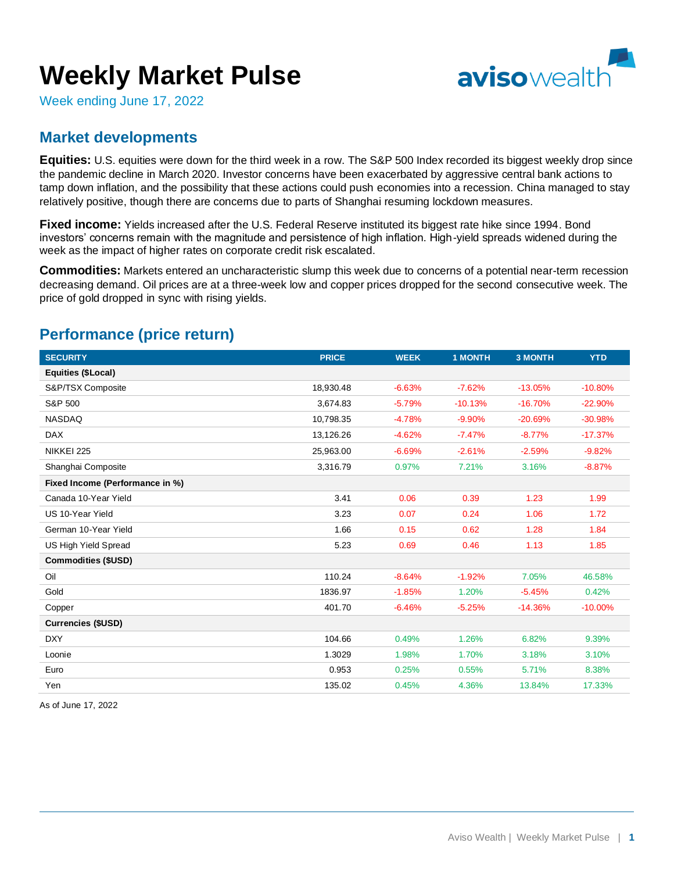# **Weekly Market Pulse**



Week ending June 17, 2022

### **Market developments**

**Equities:** U.S. equities were down for the third week in a row. The S&P 500 Index recorded its biggest weekly drop since the pandemic decline in March 2020. Investor concerns have been exacerbated by aggressive central bank actions to tamp down inflation, and the possibility that these actions could push economies into a recession. China managed to stay relatively positive, though there are concerns due to parts of Shanghai resuming lockdown measures.

**Fixed income:** Yields increased after the U.S. Federal Reserve instituted its biggest rate hike since 1994. Bond investors' concerns remain with the magnitude and persistence of high inflation. High-yield spreads widened during the week as the impact of higher rates on corporate credit risk escalated.

**Commodities:** Markets entered an uncharacteristic slump this week due to concerns of a potential near-term recession decreasing demand. Oil prices are at a three-week low and copper prices dropped for the second consecutive week. The price of gold dropped in sync with rising yields.

| <b>SECURITY</b>                 | <b>PRICE</b> | <b>WEEK</b> | <b>1 MONTH</b> | <b>3 MONTH</b> | <b>YTD</b> |
|---------------------------------|--------------|-------------|----------------|----------------|------------|
| Equities (\$Local)              |              |             |                |                |            |
| S&P/TSX Composite               | 18,930.48    | $-6.63%$    | $-7.62%$       | $-13.05%$      | $-10.80%$  |
| S&P 500                         | 3,674.83     | $-5.79%$    | $-10.13%$      | $-16.70%$      | $-22.90%$  |
| <b>NASDAQ</b>                   | 10.798.35    | $-4.78%$    | $-9.90%$       | $-20.69%$      | $-30.98%$  |
| <b>DAX</b>                      | 13,126.26    | $-4.62%$    | $-7.47%$       | $-8.77%$       | $-17.37%$  |
| NIKKEI 225                      | 25,963.00    | $-6.69%$    | $-2.61%$       | $-2.59%$       | $-9.82%$   |
| Shanghai Composite              | 3,316.79     | 0.97%       | 7.21%          | 3.16%          | $-8.87%$   |
| Fixed Income (Performance in %) |              |             |                |                |            |
| Canada 10-Year Yield            | 3.41         | 0.06        | 0.39           | 1.23           | 1.99       |
| US 10-Year Yield                | 3.23         | 0.07        | 0.24           | 1.06           | 1.72       |
| German 10-Year Yield            | 1.66         | 0.15        | 0.62           | 1.28           | 1.84       |
| <b>US High Yield Spread</b>     | 5.23         | 0.69        | 0.46           | 1.13           | 1.85       |
| <b>Commodities (\$USD)</b>      |              |             |                |                |            |
| Oil                             | 110.24       | $-8.64%$    | $-1.92%$       | 7.05%          | 46.58%     |
| Gold                            | 1836.97      | $-1.85%$    | 1.20%          | $-5.45%$       | 0.42%      |
| Copper                          | 401.70       | $-6.46%$    | $-5.25%$       | $-14.36%$      | $-10.00%$  |
| <b>Currencies (\$USD)</b>       |              |             |                |                |            |
| <b>DXY</b>                      | 104.66       | 0.49%       | 1.26%          | 6.82%          | 9.39%      |
| Loonie                          | 1.3029       | 1.98%       | 1.70%          | 3.18%          | 3.10%      |
| Euro                            | 0.953        | 0.25%       | 0.55%          | 5.71%          | 8.38%      |
| Yen                             | 135.02       | 0.45%       | 4.36%          | 13.84%         | 17.33%     |

## **Performance (price return)**

As of June 17, 2022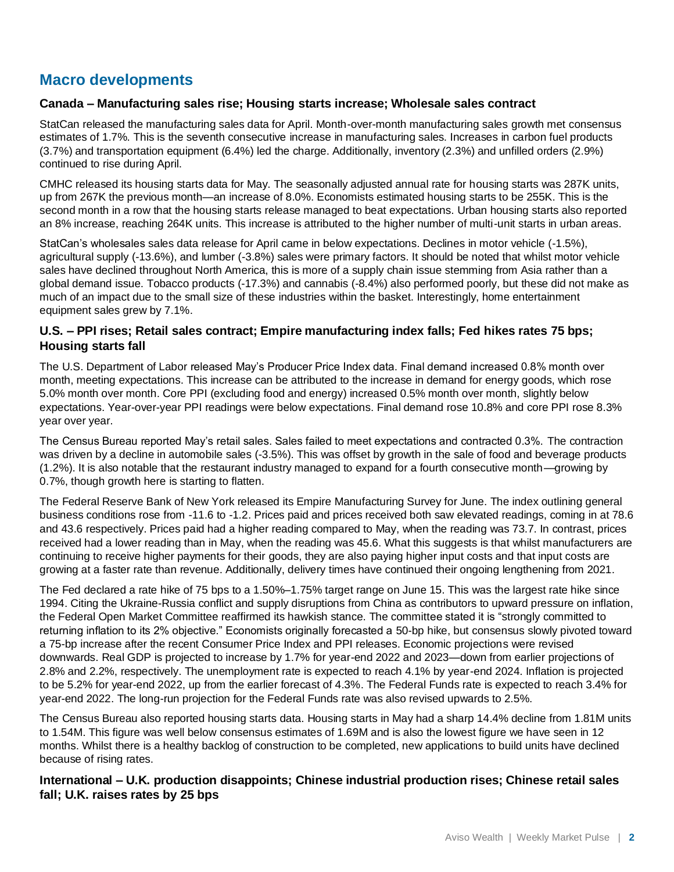## **Macro developments**

#### **Canada – Manufacturing sales rise; Housing starts increase; Wholesale sales contract**

StatCan released the manufacturing sales data for April. Month-over-month manufacturing sales growth met consensus estimates of 1.7%. This is the seventh consecutive increase in manufacturing sales. Increases in carbon fuel products (3.7%) and transportation equipment (6.4%) led the charge. Additionally, inventory (2.3%) and unfilled orders (2.9%) continued to rise during April.

CMHC released its housing starts data for May. The seasonally adjusted annual rate for housing starts was 287K units, up from 267K the previous month—an increase of 8.0%. Economists estimated housing starts to be 255K. This is the second month in a row that the housing starts release managed to beat expectations. Urban housing starts also reported an 8% increase, reaching 264K units. This increase is attributed to the higher number of multi-unit starts in urban areas.

StatCan's wholesales sales data release for April came in below expectations. Declines in motor vehicle (-1.5%), agricultural supply (-13.6%), and lumber (-3.8%) sales were primary factors. It should be noted that whilst motor vehicle sales have declined throughout North America, this is more of a supply chain issue stemming from Asia rather than a global demand issue. Tobacco products (-17.3%) and cannabis (-8.4%) also performed poorly, but these did not make as much of an impact due to the small size of these industries within the basket. Interestingly, home entertainment equipment sales grew by 7.1%.

#### **U.S. – PPI rises; Retail sales contract; Empire manufacturing index falls; Fed hikes rates 75 bps; Housing starts fall**

The U.S. Department of Labor released May's Producer Price Index data. Final demand increased 0.8% month over month, meeting expectations. This increase can be attributed to the increase in demand for energy goods, which rose 5.0% month over month. Core PPI (excluding food and energy) increased 0.5% month over month, slightly below expectations. Year-over-year PPI readings were below expectations. Final demand rose 10.8% and core PPI rose 8.3% year over year.

The Census Bureau reported May's retail sales. Sales failed to meet expectations and contracted 0.3%. The contraction was driven by a decline in automobile sales (-3.5%). This was offset by growth in the sale of food and beverage products (1.2%). It is also notable that the restaurant industry managed to expand for a fourth consecutive month—growing by 0.7%, though growth here is starting to flatten.

The Federal Reserve Bank of New York released its Empire Manufacturing Survey for June. The index outlining general business conditions rose from -11.6 to -1.2. Prices paid and prices received both saw elevated readings, coming in at 78.6 and 43.6 respectively. Prices paid had a higher reading compared to May, when the reading was 73.7. In contrast, prices received had a lower reading than in May, when the reading was 45.6. What this suggests is that whilst manufacturers are continuing to receive higher payments for their goods, they are also paying higher input costs and that input costs are growing at a faster rate than revenue. Additionally, delivery times have continued their ongoing lengthening from 2021.

The Fed declared a rate hike of 75 bps to a 1.50%–1.75% target range on June 15. This was the largest rate hike since 1994. Citing the Ukraine-Russia conflict and supply disruptions from China as contributors to upward pressure on inflation, the Federal Open Market Committee reaffirmed its hawkish stance. The committee stated it is "strongly committed to returning inflation to its 2% objective." Economists originally forecasted a 50-bp hike, but consensus slowly pivoted toward a 75-bp increase after the recent Consumer Price Index and PPI releases. Economic projections were revised downwards. Real GDP is projected to increase by 1.7% for year-end 2022 and 2023—down from earlier projections of 2.8% and 2.2%, respectively. The unemployment rate is expected to reach 4.1% by year-end 2024. Inflation is projected to be 5.2% for year-end 2022, up from the earlier forecast of 4.3%. The Federal Funds rate is expected to reach 3.4% for year-end 2022. The long-run projection for the Federal Funds rate was also revised upwards to 2.5%.

The Census Bureau also reported housing starts data. Housing starts in May had a sharp 14.4% decline from 1.81M units to 1.54M. This figure was well below consensus estimates of 1.69M and is also the lowest figure we have seen in 12 months. Whilst there is a healthy backlog of construction to be completed, new applications to build units have declined because of rising rates.

**International – U.K. production disappoints; Chinese industrial production rises; Chinese retail sales fall; U.K. raises rates by 25 bps**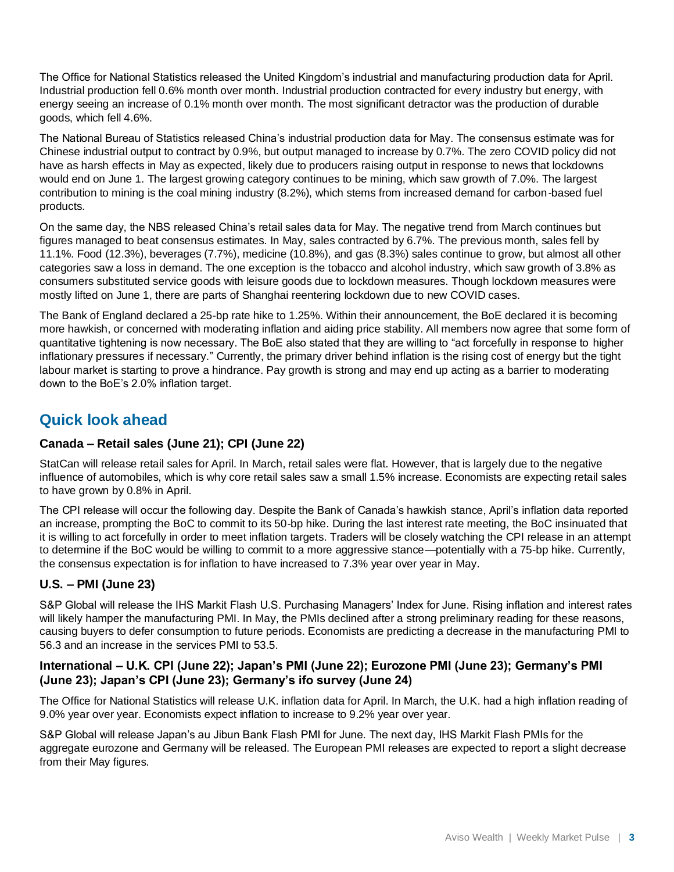The Office for National Statistics released the United Kingdom's industrial and manufacturing production data for April. Industrial production fell 0.6% month over month. Industrial production contracted for every industry but energy, with energy seeing an increase of 0.1% month over month. The most significant detractor was the production of durable goods, which fell 4.6%.

The National Bureau of Statistics released China's industrial production data for May. The consensus estimate was for Chinese industrial output to contract by 0.9%, but output managed to increase by 0.7%. The zero COVID policy did not have as harsh effects in May as expected, likely due to producers raising output in response to news that lockdowns would end on June 1. The largest growing category continues to be mining, which saw growth of 7.0%. The largest contribution to mining is the coal mining industry (8.2%), which stems from increased demand for carbon-based fuel products.

On the same day, the NBS released China's retail sales data for May. The negative trend from March continues but figures managed to beat consensus estimates. In May, sales contracted by 6.7%. The previous month, sales fell by 11.1%. Food (12.3%), beverages (7.7%), medicine (10.8%), and gas (8.3%) sales continue to grow, but almost all other categories saw a loss in demand. The one exception is the tobacco and alcohol industry, which saw growth of 3.8% as consumers substituted service goods with leisure goods due to lockdown measures. Though lockdown measures were mostly lifted on June 1, there are parts of Shanghai reentering lockdown due to new COVID cases.

The Bank of England declared a 25-bp rate hike to 1.25%. Within their announcement, the BoE declared it is becoming more hawkish, or concerned with moderating inflation and aiding price stability. All members now agree that some form of quantitative tightening is now necessary. The BoE also stated that they are willing to "act forcefully in response to higher inflationary pressures if necessary." Currently, the primary driver behind inflation is the rising cost of energy but the tight labour market is starting to prove a hindrance. Pay growth is strong and may end up acting as a barrier to moderating down to the BoE's 2.0% inflation target.

## **Quick look ahead**

#### **Canada – Retail sales (June 21); CPI (June 22)**

StatCan will release retail sales for April. In March, retail sales were flat. However, that is largely due to the negative influence of automobiles, which is why core retail sales saw a small 1.5% increase. Economists are expecting retail sales to have grown by 0.8% in April.

The CPI release will occur the following day. Despite the Bank of Canada's hawkish stance, April's inflation data reported an increase, prompting the BoC to commit to its 50-bp hike. During the last interest rate meeting, the BoC insinuated that it is willing to act forcefully in order to meet inflation targets. Traders will be closely watching the CPI release in an attempt to determine if the BoC would be willing to commit to a more aggressive stance—potentially with a 75-bp hike. Currently, the consensus expectation is for inflation to have increased to 7.3% year over year in May.

#### **U.S. – PMI (June 23)**

S&P Global will release the IHS Markit Flash U.S. Purchasing Managers' Index for June. Rising inflation and interest rates will likely hamper the manufacturing PMI. In May, the PMIs declined after a strong preliminary reading for these reasons, causing buyers to defer consumption to future periods. Economists are predicting a decrease in the manufacturing PMI to 56.3 and an increase in the services PMI to 53.5.

#### **International – U.K. CPI (June 22); Japan's PMI (June 22); Eurozone PMI (June 23); Germany's PMI (June 23); Japan's CPI (June 23); Germany's ifo survey (June 24)**

The Office for National Statistics will release U.K. inflation data for April. In March, the U.K. had a high inflation reading of 9.0% year over year. Economists expect inflation to increase to 9.2% year over year.

S&P Global will release Japan's au Jibun Bank Flash PMI for June. The next day, IHS Markit Flash PMIs for the aggregate eurozone and Germany will be released. The European PMI releases are expected to report a slight decrease from their May figures.